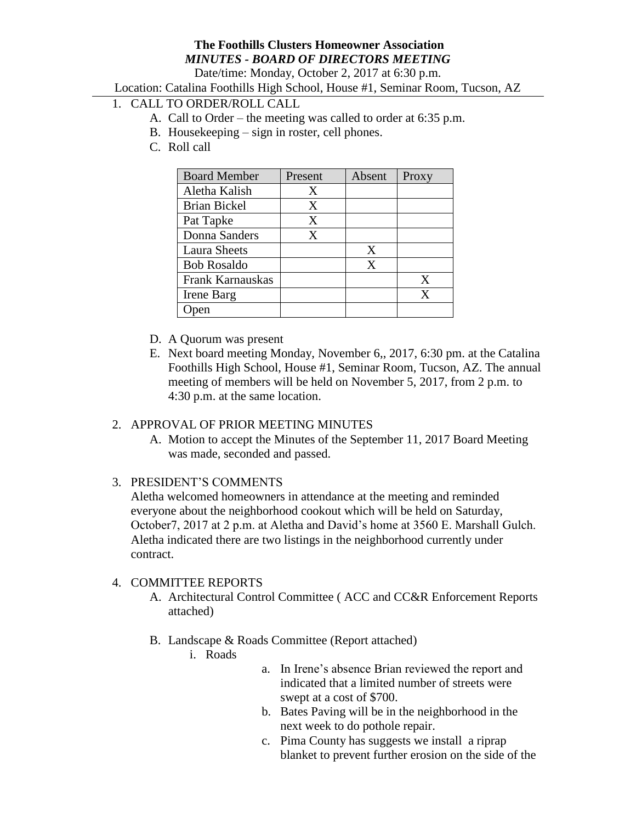## **The Foothills Clusters Homeowner Association** *MINUTES - BOARD OF DIRECTORS MEETING*

Date/time: Monday, October 2, 2017 at 6:30 p.m.

Location: Catalina Foothills High School, House #1, Seminar Room, Tucson, AZ

# 1. CALL TO ORDER/ROLL CALL

- A. Call to Order the meeting was called to order at 6:35 p.m.
- B. Housekeeping sign in roster, cell phones.
- C. Roll call

| <b>Board Member</b> | Present | Absent | Proxy |
|---------------------|---------|--------|-------|
| Aletha Kalish       | Χ       |        |       |
| <b>Brian Bickel</b> | X       |        |       |
| Pat Tapke           | X       |        |       |
| Donna Sanders       | X       |        |       |
| <b>Laura Sheets</b> |         | X      |       |
| <b>Bob Rosaldo</b>  |         | X      |       |
| Frank Karnauskas    |         |        | X     |
| Irene Barg          |         |        | X     |
|                     |         |        |       |

- D. A Quorum was present
- E. Next board meeting Monday, November 6,, 2017, 6:30 pm. at the Catalina Foothills High School, House #1, Seminar Room, Tucson, AZ. The annual meeting of members will be held on November 5, 2017, from 2 p.m. to 4:30 p.m. at the same location.

### 2. APPROVAL OF PRIOR MEETING MINUTES

A. Motion to accept the Minutes of the September 11, 2017 Board Meeting was made, seconded and passed.

### 3. PRESIDENT'S COMMENTS

Aletha welcomed homeowners in attendance at the meeting and reminded everyone about the neighborhood cookout which will be held on Saturday, October7, 2017 at 2 p.m. at Aletha and David's home at 3560 E. Marshall Gulch. Aletha indicated there are two listings in the neighborhood currently under contract.

### 4. COMMITTEE REPORTS

- A. Architectural Control Committee ( ACC and CC&R Enforcement Reports attached)
- B. Landscape & Roads Committee (Report attached)
	- i. Roads
- a. In Irene's absence Brian reviewed the report and indicated that a limited number of streets were swept at a cost of \$700.
- b. Bates Paving will be in the neighborhood in the next week to do pothole repair.
- c. Pima County has suggests we install a riprap blanket to prevent further erosion on the side of the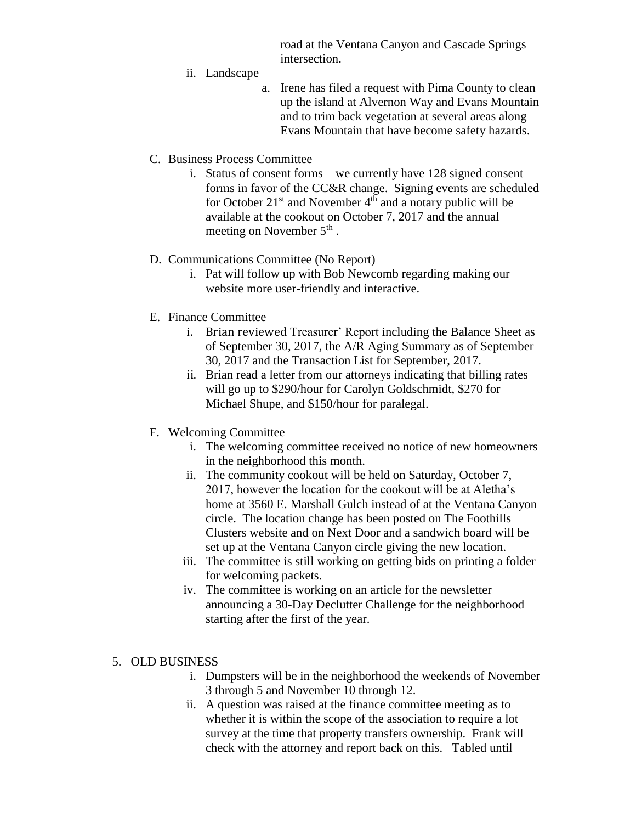road at the Ventana Canyon and Cascade Springs intersection.

- ii. Landscape
	- a. Irene has filed a request with Pima County to clean up the island at Alvernon Way and Evans Mountain and to trim back vegetation at several areas along Evans Mountain that have become safety hazards.
- C. Business Process Committee
	- i. Status of consent forms we currently have 128 signed consent forms in favor of the CC&R change. Signing events are scheduled for October  $21^{st}$  and November  $4^{th}$  and a notary public will be available at the cookout on October 7, 2017 and the annual meeting on November  $5<sup>th</sup>$ .

### D. Communications Committee (No Report)

- i. Pat will follow up with Bob Newcomb regarding making our website more user-friendly and interactive.
- E. Finance Committee
	- i. Brian reviewed Treasurer' Report including the Balance Sheet as of September 30, 2017, the A/R Aging Summary as of September 30, 2017 and the Transaction List for September, 2017.
	- ii. Brian read a letter from our attorneys indicating that billing rates will go up to \$290/hour for Carolyn Goldschmidt, \$270 for Michael Shupe, and \$150/hour for paralegal.
- F. Welcoming Committee
	- i. The welcoming committee received no notice of new homeowners in the neighborhood this month.
	- ii. The community cookout will be held on Saturday, October 7, 2017, however the location for the cookout will be at Aletha's home at 3560 E. Marshall Gulch instead of at the Ventana Canyon circle. The location change has been posted on The Foothills Clusters website and on Next Door and a sandwich board will be set up at the Ventana Canyon circle giving the new location.
	- iii. The committee is still working on getting bids on printing a folder for welcoming packets.
	- iv. The committee is working on an article for the newsletter announcing a 30-Day Declutter Challenge for the neighborhood starting after the first of the year.

### 5. OLD BUSINESS

- i. Dumpsters will be in the neighborhood the weekends of November 3 through 5 and November 10 through 12.
- ii. A question was raised at the finance committee meeting as to whether it is within the scope of the association to require a lot survey at the time that property transfers ownership. Frank will check with the attorney and report back on this. Tabled until